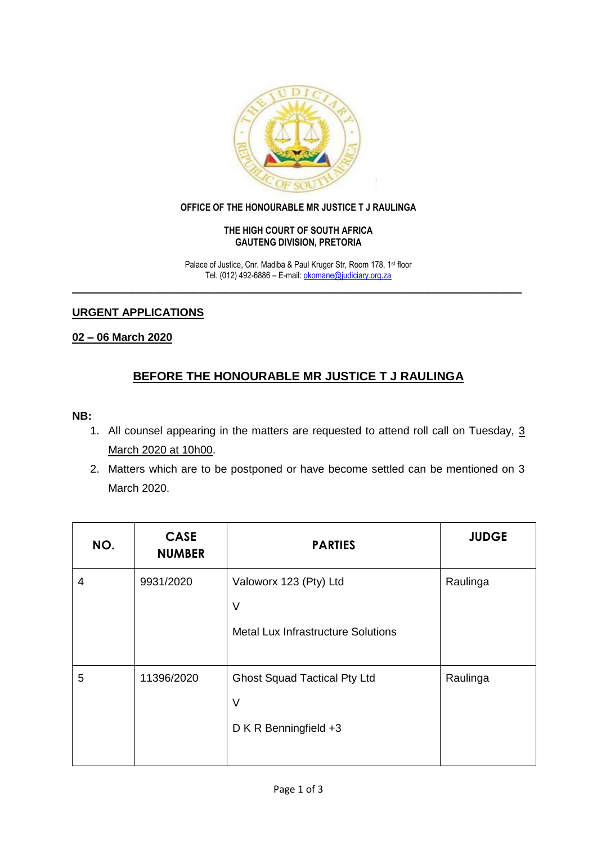

#### **OFFICE OF THE HONOURABLE MR JUSTICE T J RAULINGA**

#### **THE HIGH COURT OF SOUTH AFRICA GAUTENG DIVISION, PRETORIA**

Palace of Justice, Cnr. Madiba & Paul Kruger Str, Room 178, 1st floor Tel. (012) 492-6886 – E-mail: [okomane@judiciary.org.za](mailto:okomane@judiciary.org.za) **\_\_\_\_\_\_\_\_\_\_\_\_\_\_\_\_\_\_\_\_\_\_\_\_\_\_\_\_\_\_\_\_\_\_\_\_\_\_\_\_\_\_\_\_\_\_\_\_\_\_\_\_\_\_\_\_\_\_\_\_\_\_\_\_\_\_\_\_\_\_\_\_\_\_\_\_\_\_\_\_\_\_**

# **URGENT APPLICATIONS**

### **02 – 06 March 2020**

# **BEFORE THE HONOURABLE MR JUSTICE T J RAULINGA**

# **NB:**

- 1. All counsel appearing in the matters are requested to attend roll call on Tuesday, 3 March 2020 at 10h00.
- 2. Matters which are to be postponed or have become settled can be mentioned on 3 March 2020.

| NO. | <b>CASE</b><br><b>NUMBER</b> | <b>PARTIES</b>                                                         | <b>JUDGE</b> |
|-----|------------------------------|------------------------------------------------------------------------|--------------|
| 4   | 9931/2020                    | Valoworx 123 (Pty) Ltd<br>$\vee$                                       | Raulinga     |
|     |                              | <b>Metal Lux Infrastructure Solutions</b>                              |              |
| 5   | 11396/2020                   | <b>Ghost Squad Tactical Pty Ltd</b><br>$\vee$<br>D K R Benningfield +3 | Raulinga     |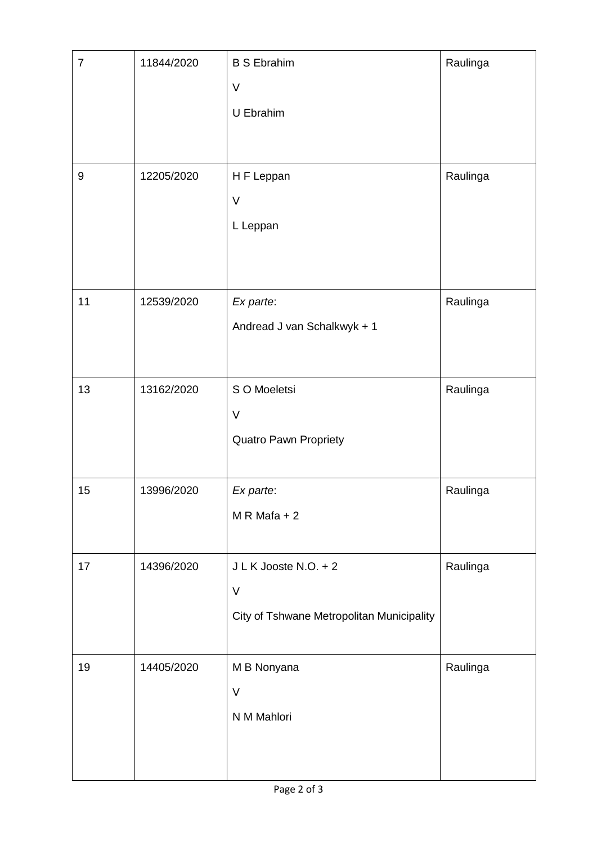| $\overline{7}$ | 11844/2020 | <b>B S Ebrahim</b>                        | Raulinga |
|----------------|------------|-------------------------------------------|----------|
|                |            | $\vee$                                    |          |
|                |            | U Ebrahim                                 |          |
|                |            |                                           |          |
|                |            |                                           |          |
| $9\,$          | 12205/2020 | H F Leppan                                | Raulinga |
|                |            | $\vee$                                    |          |
|                |            | L Leppan                                  |          |
|                |            |                                           |          |
|                |            |                                           |          |
| 11             | 12539/2020 | Ex parte:                                 | Raulinga |
|                |            | Andread J van Schalkwyk + 1               |          |
|                |            |                                           |          |
| 13             | 13162/2020 | S O Moeletsi                              | Raulinga |
|                |            | $\vee$                                    |          |
|                |            | <b>Quatro Pawn Propriety</b>              |          |
|                |            |                                           |          |
| 15             | 13996/2020 | Ex parte:                                 | Raulinga |
|                |            | $M \, R \, Mafa + 2$                      |          |
|                |            |                                           |          |
| 17             | 14396/2020 | J L K Jooste N.O. + 2                     | Raulinga |
|                |            | $\vee$                                    |          |
|                |            | City of Tshwane Metropolitan Municipality |          |
|                |            |                                           |          |
| 19             | 14405/2020 | M B Nonyana                               | Raulinga |
|                |            | $\vee$                                    |          |
|                |            | N M Mahlori                               |          |
|                |            |                                           |          |
|                |            |                                           |          |